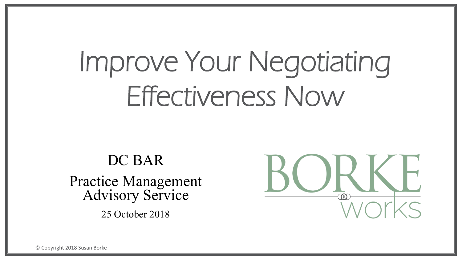# Improve Your Negotiating Effectiveness Now

DC BAR Practice Management Advisory Service 25 October 2018

© Copyright 2018 Susan Borke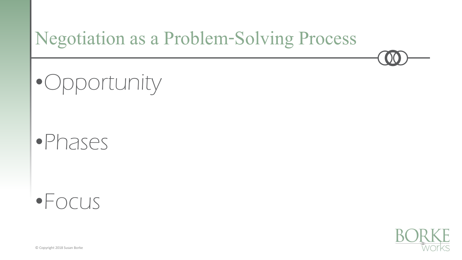

•Opportunity

### •Phases

### •Focus

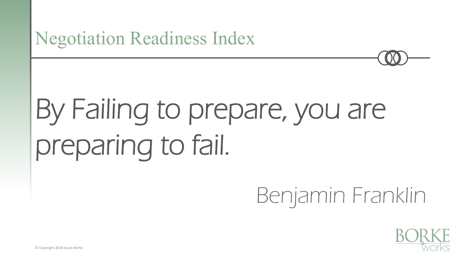#### Negotiation Readiness Index

# By Failing to prepare, you are preparing to fail.

# Benjamin Franklin

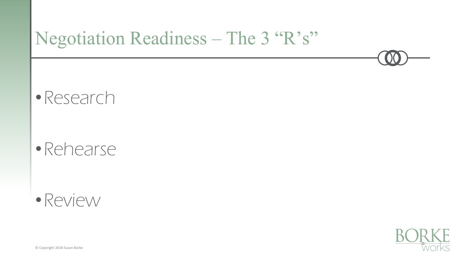•Research

#### •Rehearse

#### •Review



© Copyright 2018 Susan Borke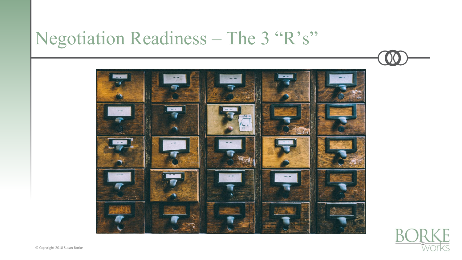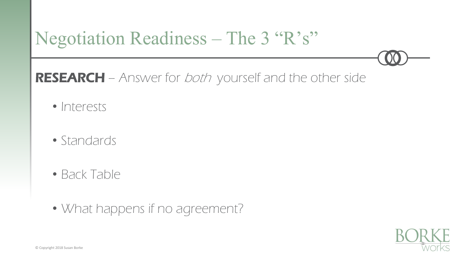RESEARCH – Answer for *both* yourself and the other side

- Interests
- Standards
- Back Table
- What happens if no agreement?

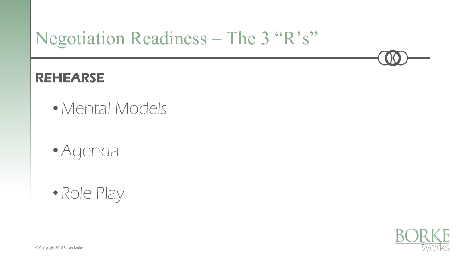#### REHEARSE

- Mental Models
- •Agenda
- Role Play

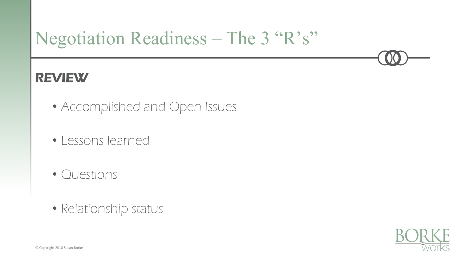#### REVIEW

- Accomplished and Open Issues
- Lessons learned
- Questions
- Relationship status

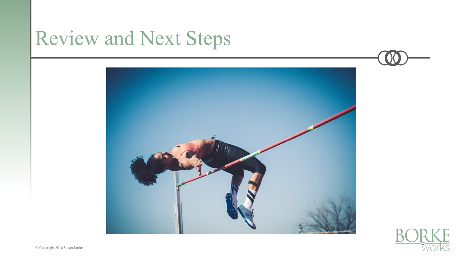## Review and Next Steps



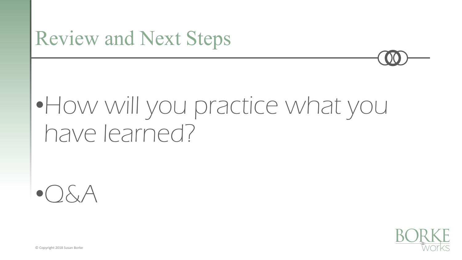## Review and Next Steps

# •How will you practice what you have learned?





© Copyright 2018 Susan Borke